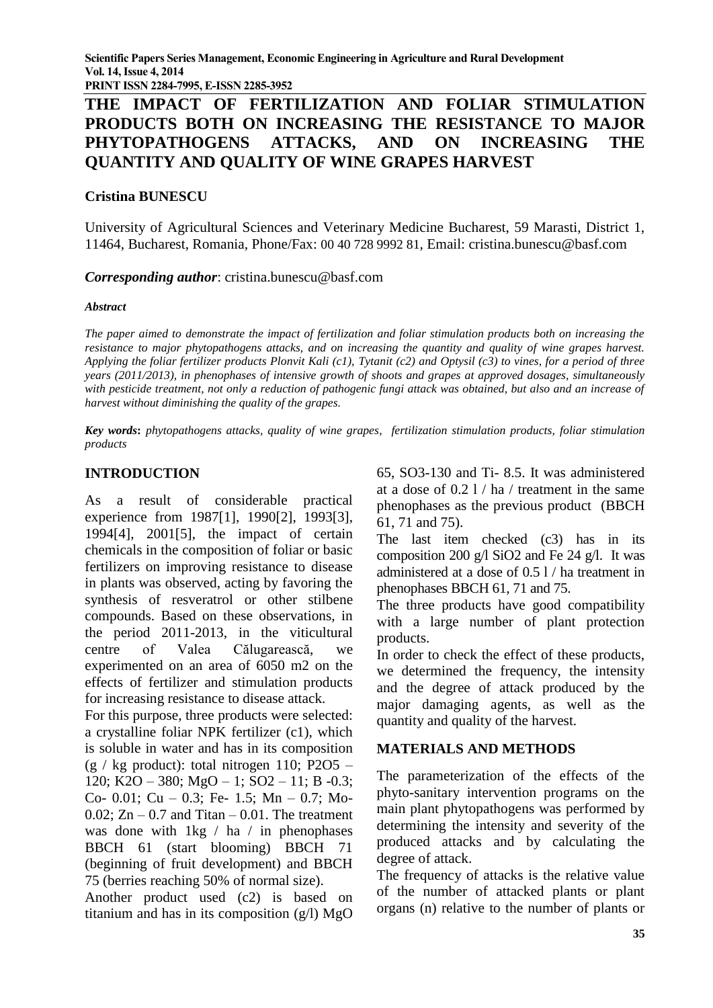**PRINT ISSN 2284-7995, E-ISSN 2285-3952** 

# **THE IMPACT OF FERTILIZATION AND FOLIAR STIMULATION PRODUCTS BOTH ON INCREASING THE RESISTANCE TO MAJOR PHYTOPATHOGENS ATTACKS, AND ON INCREASING THE QUANTITY AND QUALITY OF WINE GRAPES HARVEST**

#### **Cristina BUNESCU**

University of Agricultural Sciences and Veterinary Medicine Bucharest, 59 Marasti, District 1, 11464, Bucharest, Romania, Phone/Fax: 00 40 728 9992 81, Email: cristina.bunescu@basf.com

*Corresponding author*: cristina.bunescu@basf.com

#### *Abstract*

*The paper aimed to demonstrate the impact of fertilization and foliar stimulation products both on increasing the resistance to major phytopathogens attacks, and on increasing the quantity and quality of wine grapes harvest. Applying the foliar fertilizer products Plonvit Kali (c1), Tytanit (c2) and Optysil (c3) to vines, for a period of three years (2011/2013), in phenophases of intensive growth of shoots and grapes at approved dosages, simultaneously with pesticide treatment, not only a reduction of pathogenic fungi attack was obtained, but also and an increase of harvest without diminishing the quality of the grapes.*

*Key words***:** *phytopathogens attacks, quality of wine grapes*, *fertilization stimulation products, foliar stimulation products* 

## **INTRODUCTION**

As a result of considerable practical experience from 1987[1], 1990[2], 1993[3], 1994[4], 2001[5], the impact of certain chemicals in the composition of foliar or basic fertilizers on improving resistance to disease in plants was observed, acting by favoring the synthesis of resveratrol or other stilbene compounds. Based on these observations, in the period 2011-2013, in the viticultural centre of Valea Călugarească, we experimented on an area of 6050 m2 on the effects of fertilizer and stimulation products for increasing resistance to disease attack.

For this purpose, three products were selected: a crystalline foliar NPK fertilizer (c1), which is soluble in water and has in its composition  $(g / kg$  product): total nitrogen 110; P2O5 – 120; K2O – 380; MgO – 1; SO2 – 11; B -0.3; Co- 0.01; Cu – 0.3; Fe- 1.5; Mn – 0.7; Mo- $0.02$ ; Zn – 0.7 and Titan – 0.01. The treatment was done with 1kg / ha / in phenophases BBCH 61 (start blooming) BBCH 71 (beginning of fruit development) and BBCH 75 (berries reaching 50% of normal size).

Another product used (c2) is based on titanium and has in its composition  $(g/l)$  MgO 65, SO3-130 and Ti- 8.5. It was administered at a dose of 0.2 l / ha / treatment in the same phenophases as the previous product (BBCH 61, 71 and 75).

The last item checked (c3) has in its composition 200 g/l SiO2 and Fe 24 g/l. It was administered at a dose of 0.5 l / ha treatment in phenophases BBCH 61, 71 and 75.

The three products have good compatibility with a large number of plant protection products.

In order to check the effect of these products, we determined the frequency, the intensity and the degree of attack produced by the major damaging agents, as well as the quantity and quality of the harvest.

## **MATERIALS AND METHODS**

The parameterization of the effects of the phyto-sanitary intervention programs on the main plant phytopathogens was performed by determining the intensity and severity of the produced attacks and by calculating the degree of attack.

The frequency of attacks is the relative value of the number of attacked plants or plant organs (n) relative to the number of plants or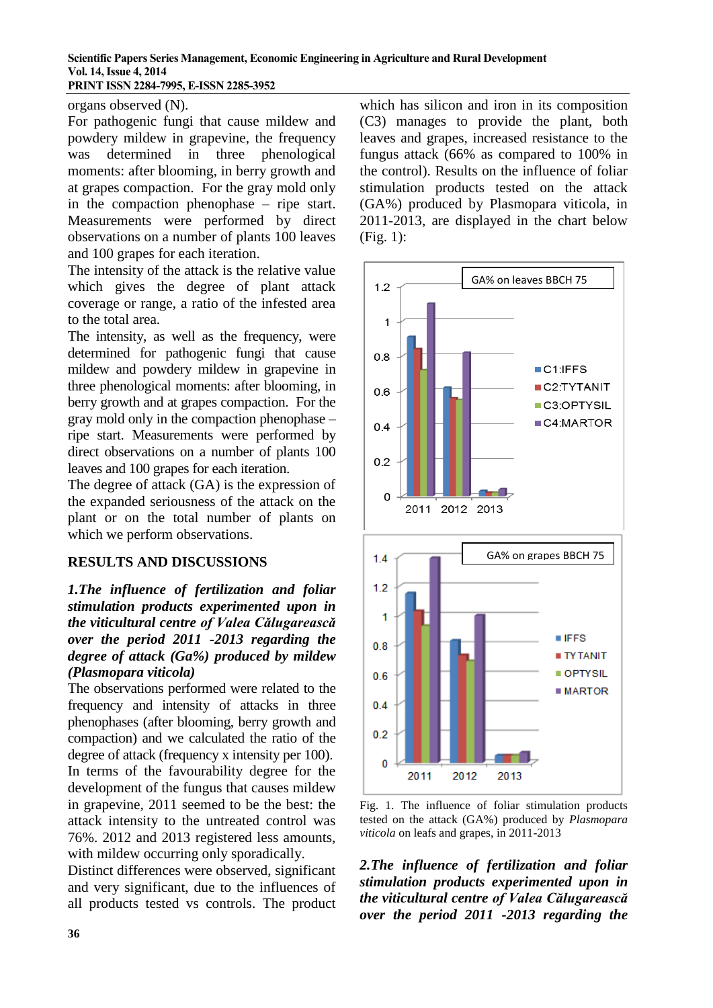#### **Scientific Papers Series Management, Economic Engineering in Agriculture and Rural Development Vol. 14, Issue 4, 2014 PRINT ISSN 2284-7995, E-ISSN 2285-3952**

organs observed (N).

For pathogenic fungi that cause mildew and powdery mildew in grapevine, the frequency was determined in three phenological moments: after blooming, in berry growth and at grapes compaction. For the gray mold only in the compaction phenophase – ripe start. Measurements were performed by direct observations on a number of plants 100 leaves and 100 grapes for each iteration.

The intensity of the attack is the relative value which gives the degree of plant attack coverage or range, a ratio of the infested area to the total area.

The intensity, as well as the frequency, were determined for pathogenic fungi that cause mildew and powdery mildew in grapevine in three phenological moments: after blooming, in berry growth and at grapes compaction. For the gray mold only in the compaction phenophase – ripe start. Measurements were performed by direct observations on a number of plants 100 leaves and 100 grapes for each iteration.

The degree of attack (GA) is the expression of the expanded seriousness of the attack on the plant or on the total number of plants on which we perform observations.

#### **RESULTS AND DISCUSSIONS**

### *1.The influence of fertilization and foliar stimulation products experimented upon in the viticultural centre of Valea Călugarească over the period 2011 -2013 regarding the degree of attack (Ga%) produced by mildew (Plasmopara viticola)*

The observations performed were related to the frequency and intensity of attacks in three phenophases (after blooming, berry growth and compaction) and we calculated the ratio of the degree of attack (frequency x intensity per 100). In terms of the favourability degree for the development of the fungus that causes mildew in grapevine, 2011 seemed to be the best: the attack intensity to the untreated control was 76%. 2012 and 2013 registered less amounts, with mildew occurring only sporadically.

Distinct differences were observed, significant and very significant, due to the influences of all products tested vs controls. The product

which has silicon and iron in its composition (C3) manages to provide the plant, both leaves and grapes, increased resistance to the fungus attack (66% as compared to 100% in the control). Results on the influence of foliar stimulation products tested on the attack (GA%) produced by Plasmopara viticola, in 2011-2013, are displayed in the chart below (Fig. 1):



Fig. 1. The influence of foliar stimulation products tested on the attack (GA%) produced by *Plasmopara viticola* on leafs and grapes, in 2011-2013

*2.The influence of fertilization and foliar stimulation products experimented upon in the viticultural centre of Valea Călugarească over the period 2011 -2013 regarding the*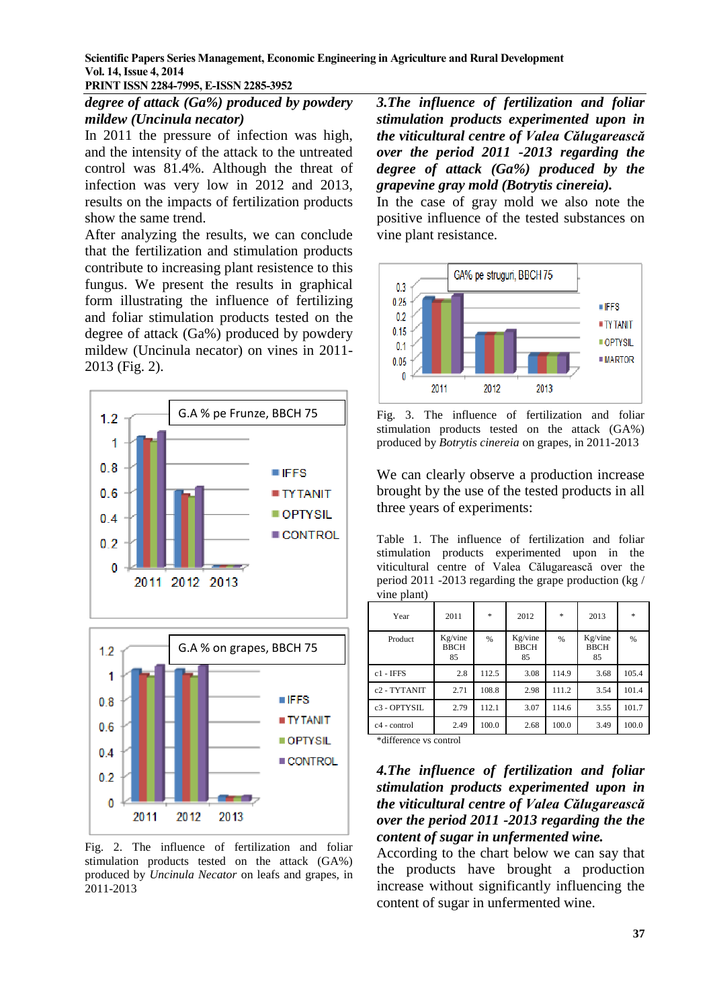**Scientific Papers Series Management, Economic Engineering in Agriculture and Rural Development Vol. 14, Issue 4, 2014**

**PRINT ISSN 2284-7995, E-ISSN 2285-3952** 

#### *degree of attack (Ga%) produced by powdery mildew (Uncinula necator)*

In 2011 the pressure of infection was high, and the intensity of the attack to the untreated control was 81.4%. Although the threat of infection was very low in 2012 and 2013, results on the impacts of fertilization products show the same trend.

After analyzing the results, we can conclude that the fertilization and stimulation products contribute to increasing plant resistence to this fungus. We present the results in graphical form illustrating the influence of fertilizing and foliar stimulation products tested on the degree of attack (Ga%) produced by powdery mildew (Uncinula necator) on vines in 2011- 2013 (Fig. 2).



Fig. 2. The influence of fertilization and foliar stimulation products tested on the attack (GA%) produced by *Uncinula Necator* on leafs and grapes, in 2011-2013

*3.The influence of fertilization and foliar stimulation products experimented upon in the viticultural centre of Valea Călugarească over the period 2011 -2013 regarding the degree of attack (Ga%) produced by the grapevine gray mold (Botrytis cinereia).*

In the case of gray mold we also note the positive influence of the tested substances on vine plant resistance.



Fig. 3. The influence of fertilization and foliar stimulation products tested on the attack (GA%) produced by *Botrytis cinereia* on grapes, in 2011-2013

We can clearly observe a production increase brought by the use of the tested products in all three years of experiments:

Table 1. The influence of fertilization and foliar stimulation products experimented upon in the viticultural centre of Valea Călugarească over the period 2011 -2013 regarding the grape production (kg / vine plant)

| Year                     | 2011                         | ×.    | 2012                         | $\ast$ | 2013                         | $\ast$ |
|--------------------------|------------------------------|-------|------------------------------|--------|------------------------------|--------|
| Product                  | Kg/vine<br><b>BBCH</b><br>85 | %     | Kg/vine<br><b>BBCH</b><br>85 | %      | Kg/vine<br><b>BBCH</b><br>85 | %      |
| $c1 - IFFS$              | 2.8                          | 112.5 | 3.08                         | 114.9  | 3.68                         | 105.4  |
| c <sub>2</sub> - TYTANIT | 2.71                         | 108.8 | 2.98                         | 111.2  | 3.54                         | 101.4  |
| $c3 - OPTYS$ IL          | 2.79                         | 112.1 | 3.07                         | 114.6  | 3.55                         | 101.7  |
| $c4$ - control           | 2.49                         | 100.0 | 2.68                         | 100.0  | 3.49                         | 100.0  |

\*difference vs control

#### *4.The influence of fertilization and foliar stimulation products experimented upon in the viticultural centre of Valea Călugarească over the period 2011 -2013 regarding the the content of sugar in unfermented wine.*

According to the chart below we can say that the products have brought a production increase without significantly influencing the content of sugar in unfermented wine.